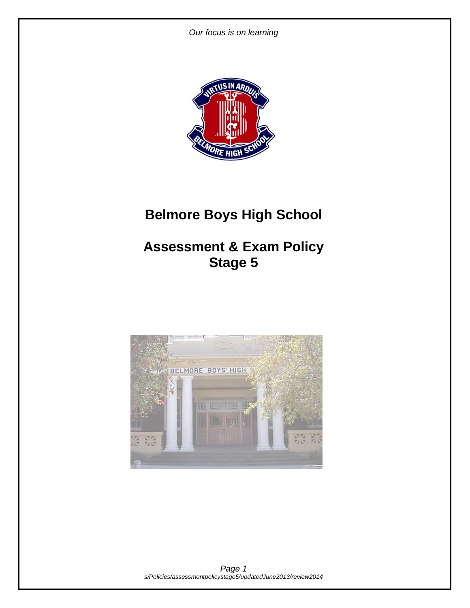

# **Belmore Boys High School**

## **Assessment & Exam Policy Stage 5**

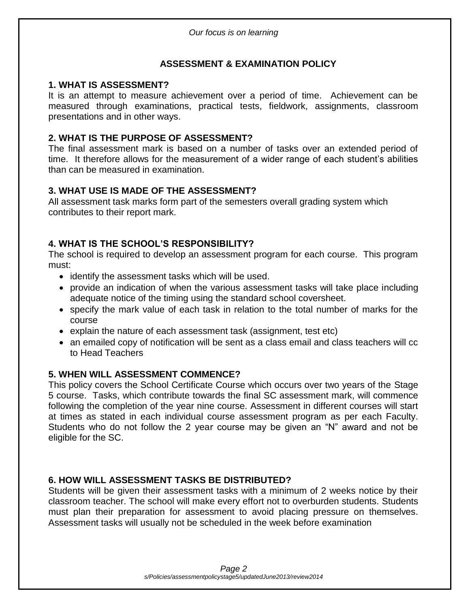## **ASSESSMENT & EXAMINATION POLICY**

## **1. WHAT IS ASSESSMENT?**

It is an attempt to measure achievement over a period of time. Achievement can be measured through examinations, practical tests, fieldwork, assignments, classroom presentations and in other ways.

## **2. WHAT IS THE PURPOSE OF ASSESSMENT?**

The final assessment mark is based on a number of tasks over an extended period of time. It therefore allows for the measurement of a wider range of each student's abilities than can be measured in examination.

## **3. WHAT USE IS MADE OF THE ASSESSMENT?**

All assessment task marks form part of the semesters overall grading system which contributes to their report mark.

## **4. WHAT IS THE SCHOOL'S RESPONSIBILITY?**

The school is required to develop an assessment program for each course. This program must:

- identify the assessment tasks which will be used.
- provide an indication of when the various assessment tasks will take place including adequate notice of the timing using the standard school coversheet.
- specify the mark value of each task in relation to the total number of marks for the course
- explain the nature of each assessment task (assignment, test etc)
- an emailed copy of notification will be sent as a class email and class teachers will cc to Head Teachers

## **5. WHEN WILL ASSESSMENT COMMENCE?**

This policy covers the School Certificate Course which occurs over two years of the Stage 5 course. Tasks, which contribute towards the final SC assessment mark, will commence following the completion of the year nine course. Assessment in different courses will start at times as stated in each individual course assessment program as per each Faculty. Students who do not follow the 2 year course may be given an "N" award and not be eligible for the SC.

## **6. HOW WILL ASSESSMENT TASKS BE DISTRIBUTED?**

Students will be given their assessment tasks with a minimum of 2 weeks notice by their classroom teacher. The school will make every effort not to overburden students. Students must plan their preparation for assessment to avoid placing pressure on themselves. Assessment tasks will usually not be scheduled in the week before examination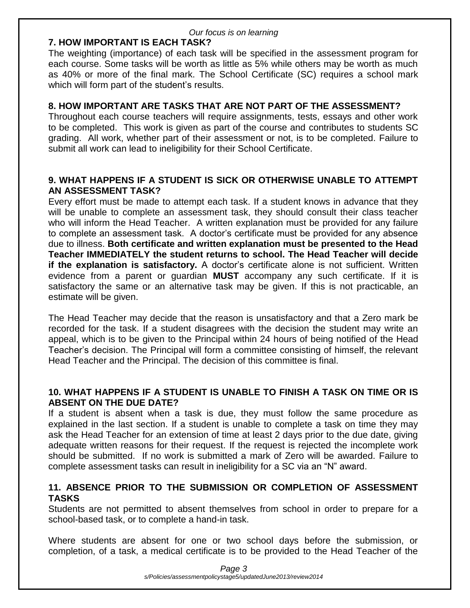## **7. HOW IMPORTANT IS EACH TASK?**

The weighting (importance) of each task will be specified in the assessment program for each course. Some tasks will be worth as little as 5% while others may be worth as much as 40% or more of the final mark. The School Certificate (SC) requires a school mark which will form part of the student's results.

## **8. HOW IMPORTANT ARE TASKS THAT ARE NOT PART OF THE ASSESSMENT?**

Throughout each course teachers will require assignments, tests, essays and other work to be completed. This work is given as part of the course and contributes to students SC grading. All work, whether part of their assessment or not, is to be completed. Failure to submit all work can lead to ineligibility for their School Certificate.

## **9. WHAT HAPPENS IF A STUDENT IS SICK OR OTHERWISE UNABLE TO ATTEMPT AN ASSESSMENT TASK?**

Every effort must be made to attempt each task. If a student knows in advance that they will be unable to complete an assessment task, they should consult their class teacher who will inform the Head Teacher. A written explanation must be provided for any failure to complete an assessment task. A doctor's certificate must be provided for any absence due to illness. **Both certificate and written explanation must be presented to the Head Teacher IMMEDIATELY the student returns to school. The Head Teacher will decide if the explanation is satisfactory.** A doctor's certificate alone is not sufficient. Written evidence from a parent or guardian **MUST** accompany any such certificate. If it is satisfactory the same or an alternative task may be given. If this is not practicable, an estimate will be given.

The Head Teacher may decide that the reason is unsatisfactory and that a Zero mark be recorded for the task. If a student disagrees with the decision the student may write an appeal, which is to be given to the Principal within 24 hours of being notified of the Head Teacher's decision. The Principal will form a committee consisting of himself, the relevant Head Teacher and the Principal. The decision of this committee is final.

## **10. WHAT HAPPENS IF A STUDENT IS UNABLE TO FINISH A TASK ON TIME OR IS ABSENT ON THE DUE DATE?**

If a student is absent when a task is due, they must follow the same procedure as explained in the last section. If a student is unable to complete a task on time they may ask the Head Teacher for an extension of time at least 2 days prior to the due date, giving adequate written reasons for their request. If the request is rejected the incomplete work should be submitted. If no work is submitted a mark of Zero will be awarded. Failure to complete assessment tasks can result in ineligibility for a SC via an "N" award.

## **11. ABSENCE PRIOR TO THE SUBMISSION OR COMPLETION OF ASSESSMENT TASKS**

Students are not permitted to absent themselves from school in order to prepare for a school-based task, or to complete a hand-in task.

Where students are absent for one or two school days before the submission, or completion, of a task, a medical certificate is to be provided to the Head Teacher of the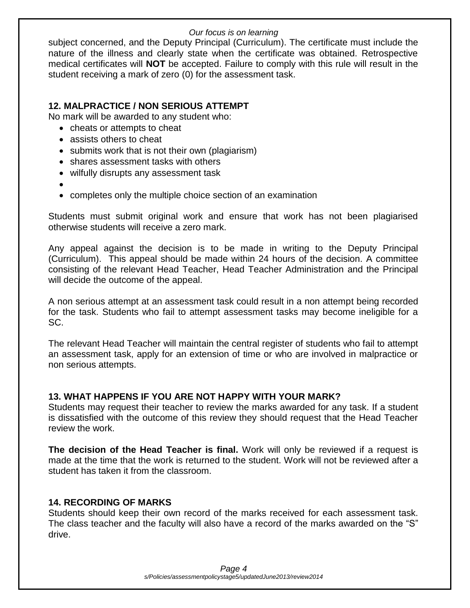subject concerned, and the Deputy Principal (Curriculum). The certificate must include the nature of the illness and clearly state when the certificate was obtained. Retrospective medical certificates will **NOT** be accepted. Failure to comply with this rule will result in the student receiving a mark of zero (0) for the assessment task.

## **12. MALPRACTICE / NON SERIOUS ATTEMPT**

No mark will be awarded to any student who:

- cheats or attempts to cheat
- assists others to cheat
- submits work that is not their own (plagiarism)
- shares assessment tasks with others
- wilfully disrupts any assessment task
- $\bullet$
- completes only the multiple choice section of an examination

Students must submit original work and ensure that work has not been plagiarised otherwise students will receive a zero mark.

Any appeal against the decision is to be made in writing to the Deputy Principal (Curriculum). This appeal should be made within 24 hours of the decision. A committee consisting of the relevant Head Teacher, Head Teacher Administration and the Principal will decide the outcome of the appeal.

A non serious attempt at an assessment task could result in a non attempt being recorded for the task. Students who fail to attempt assessment tasks may become ineligible for a SC.

The relevant Head Teacher will maintain the central register of students who fail to attempt an assessment task, apply for an extension of time or who are involved in malpractice or non serious attempts.

## **13. WHAT HAPPENS IF YOU ARE NOT HAPPY WITH YOUR MARK?**

Students may request their teacher to review the marks awarded for any task. If a student is dissatisfied with the outcome of this review they should request that the Head Teacher review the work.

**The decision of the Head Teacher is final.** Work will only be reviewed if a request is made at the time that the work is returned to the student. Work will not be reviewed after a student has taken it from the classroom.

## **14. RECORDING OF MARKS**

Students should keep their own record of the marks received for each assessment task. The class teacher and the faculty will also have a record of the marks awarded on the "S" drive.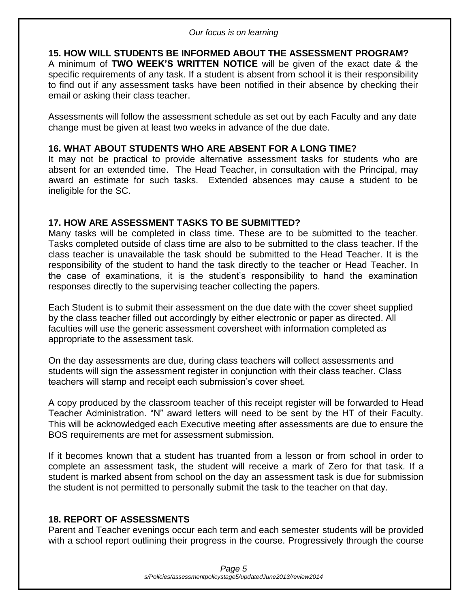## **15. HOW WILL STUDENTS BE INFORMED ABOUT THE ASSESSMENT PROGRAM?**

A minimum of **TWO WEEK'S WRITTEN NOTICE** will be given of the exact date & the specific requirements of any task. If a student is absent from school it is their responsibility to find out if any assessment tasks have been notified in their absence by checking their email or asking their class teacher.

Assessments will follow the assessment schedule as set out by each Faculty and any date change must be given at least two weeks in advance of the due date.

## **16. WHAT ABOUT STUDENTS WHO ARE ABSENT FOR A LONG TIME?**

It may not be practical to provide alternative assessment tasks for students who are absent for an extended time. The Head Teacher, in consultation with the Principal, may award an estimate for such tasks. Extended absences may cause a student to be ineligible for the SC.

## **17. HOW ARE ASSESSMENT TASKS TO BE SUBMITTED?**

Many tasks will be completed in class time. These are to be submitted to the teacher. Tasks completed outside of class time are also to be submitted to the class teacher. If the class teacher is unavailable the task should be submitted to the Head Teacher. It is the responsibility of the student to hand the task directly to the teacher or Head Teacher. In the case of examinations, it is the student's responsibility to hand the examination responses directly to the supervising teacher collecting the papers.

Each Student is to submit their assessment on the due date with the cover sheet supplied by the class teacher filled out accordingly by either electronic or paper as directed. All faculties will use the generic assessment coversheet with information completed as appropriate to the assessment task.

On the day assessments are due, during class teachers will collect assessments and students will sign the assessment register in conjunction with their class teacher. Class teachers will stamp and receipt each submission's cover sheet.

A copy produced by the classroom teacher of this receipt register will be forwarded to Head Teacher Administration. "N" award letters will need to be sent by the HT of their Faculty. This will be acknowledged each Executive meeting after assessments are due to ensure the BOS requirements are met for assessment submission.

If it becomes known that a student has truanted from a lesson or from school in order to complete an assessment task, the student will receive a mark of Zero for that task. If a student is marked absent from school on the day an assessment task is due for submission the student is not permitted to personally submit the task to the teacher on that day.

## **18. REPORT OF ASSESSMENTS**

Parent and Teacher evenings occur each term and each semester students will be provided with a school report outlining their progress in the course. Progressively through the course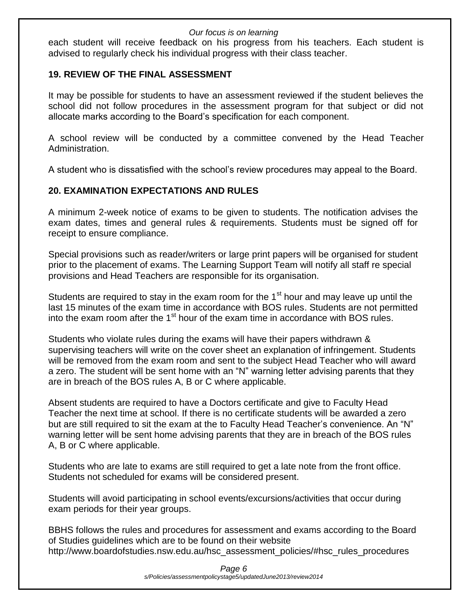each student will receive feedback on his progress from his teachers. Each student is advised to regularly check his individual progress with their class teacher.

## **19. REVIEW OF THE FINAL ASSESSMENT**

It may be possible for students to have an assessment reviewed if the student believes the school did not follow procedures in the assessment program for that subject or did not allocate marks according to the Board's specification for each component.

A school review will be conducted by a committee convened by the Head Teacher Administration.

A student who is dissatisfied with the school's review procedures may appeal to the Board.

## **20. EXAMINATION EXPECTATIONS AND RULES**

A minimum 2-week notice of exams to be given to students. The notification advises the exam dates, times and general rules & requirements. Students must be signed off for receipt to ensure compliance.

Special provisions such as reader/writers or large print papers will be organised for student prior to the placement of exams. The Learning Support Team will notify all staff re special provisions and Head Teachers are responsible for its organisation.

Students are required to stay in the exam room for the 1<sup>st</sup> hour and may leave up until the last 15 minutes of the exam time in accordance with BOS rules. Students are not permitted into the exam room after the 1<sup>st</sup> hour of the exam time in accordance with BOS rules.

Students who violate rules during the exams will have their papers withdrawn & supervising teachers will write on the cover sheet an explanation of infringement. Students will be removed from the exam room and sent to the subject Head Teacher who will award a zero. The student will be sent home with an "N" warning letter advising parents that they are in breach of the BOS rules A, B or C where applicable.

Absent students are required to have a Doctors certificate and give to Faculty Head Teacher the next time at school. If there is no certificate students will be awarded a zero but are still required to sit the exam at the to Faculty Head Teacher's convenience. An "N" warning letter will be sent home advising parents that they are in breach of the BOS rules A, B or C where applicable.

Students who are late to exams are still required to get a late note from the front office. Students not scheduled for exams will be considered present.

Students will avoid participating in school events/excursions/activities that occur during exam periods for their year groups.

BBHS follows the rules and procedures for assessment and exams according to the Board of Studies guidelines which are to be found on their website http://www.boardofstudies.nsw.edu.au/hsc\_assessment\_policies/#hsc\_rules\_procedures